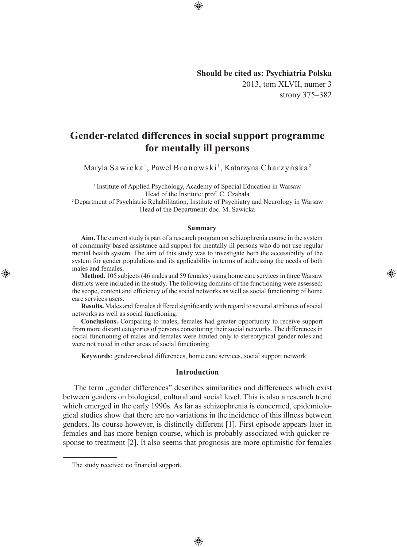## **Should be cited as: Psychiatria Polska** 2013, tom XLVII, numer 3 strony 375–382

◈

# **Gender-related differences in social support programme for mentally ill persons**

⊕

Maryla Sawicka<sup>1</sup>, Paweł Bronowski<sup>1</sup>, Katarzyna Charzyńska<sup>2</sup>

<sup>1</sup> Institute of Applied Psychology, Academy of Special Education in Warsaw Head of the Institute: prof. C. Czabała

2 Department of Psychiatric Rehabilitation, Institute of Psychiatry and Neurology in Warsaw Head of the Department: doc. M. Sawicka

#### **Summary**

**Aim.** The current study is part of a research program on schizophrenia course in the system of community based assistance and support for mentally ill persons who do not use regular mental health system. The aim of this study was to investigate both the accessibility of the system for gender populations and its applicability in terms of addressing the needs of both males and females.

**Method.** 105 subjects (46 males and 59 females) using home care services in three Warsaw districts were included in the study. The following domains of the functioning were assessed: the scope, content and efficiency of the social networks as well as social functioning of home care services users.

**Results.** Males and females differed significantly with regard to several attributes of social networks as well as social functioning.

**Conclusions.** Comparing to males, females had greater opportunity to receive support from more distant categories of persons constituting their social networks. The differences in social functioning of males and females were limited only to stereotypical gender roles and were not noted in other areas of social functioning.

**Keywords**: gender-related differences, home care services, social support network

### **Introduction**

The term "gender differences" describes similarities and differences which exist between genders on biological, cultural and social level. This is also a research trend which emerged in the early 1990s. As far as schizophrenia is concerned, epidemiological studies show that there are no variations in the incidence of this illness between genders. Its course however, is distinctly different [1]. First episode appears later in females and has more benign course, which is probably associated with quicker response to treatment [2]. It also seems that prognosis are more optimistic for females

⊕

The study received no financial support.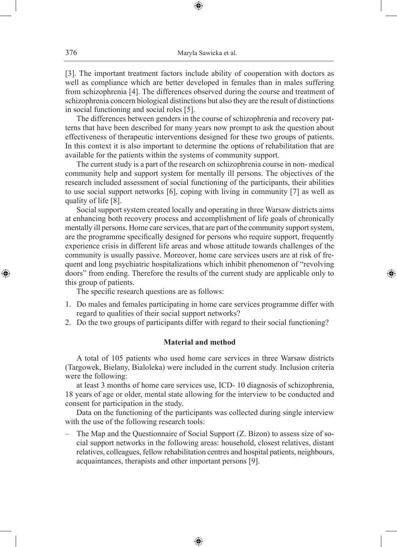[3]. The important treatment factors include ability of cooperation with doctors as well as compliance which are better developed in females than in males suffering from schizophrenia [4]. The differences observed during the course and treatment of schizophrenia concern biological distinctions but also they are the result of distinctions in social functioning and social roles [5].

The differences between genders in the course of schizophrenia and recovery patterns that have been described for many years now prompt to ask the question about effectiveness of therapeutic interventions designed for these two groups of patients. In this context it is also important to determine the options of rehabilitation that are available for the patients within the systems of community support.

The current study is a part of the research on schizophrenia course in non- medical community help and support system for mentally ill persons. The objectives of the research included assessment of social functioning of the participants, their abilities to use social support networks [6], coping with living in community [7] as well as quality of life [8].

Social support system created locally and operating in three Warsaw districts aims at enhancing both recovery process and accomplishment of life goals of chronically mentally ill persons. Home care services, that are part of the community support system, are the programme specifically designed for persons who require support, frequently experience crisis in different life areas and whose attitude towards challenges of the community is usually passive. Moreover, home care services users are at risk of frequent and long psychiatric hospitalizations which inhibit phenomenon of "revolving doors" from ending. Therefore the results of the current study are applicable only to this group of patients.

◈

The specific research questions are as follows:

- 1. Do males and females participating in home care services programme differ with regard to qualities of their social support networks?
- 2. Do the two groups of participants differ with regard to their social functioning?

### **Material and method**

A total of 105 patients who used home care services in three Warsaw districts (Targowek, Bielany, Bialoleka) were included in the current study. Inclusion criteria were the following:

at least 3 months of home care services use, ICD- 10 diagnosis of schizophrenia, 18 years of age or older, mental state allowing for the interview to be conducted and consent for participation in the study.

Data on the functioning of the participants was collected during single interview with the use of the following research tools:

– The Map and the Questionnaire of Social Support (Z. Bizon) to assess size of social support networks in the following areas: household, closest relatives, distant relatives, colleagues, fellow rehabilitation centres and hospital patients, neighbours, acquaintances, therapists and other important persons [9].

⊕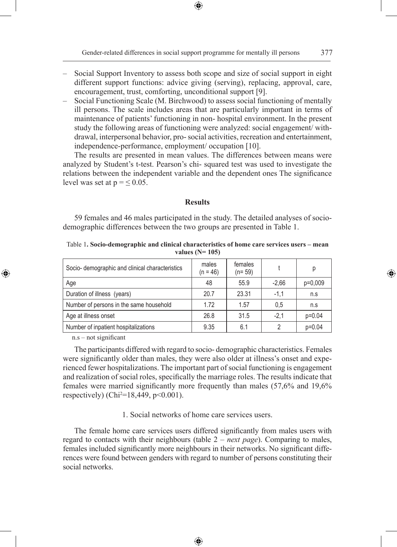- Social Support Inventory to assess both scope and size of social support in eight different support functions: advice giving (serving), replacing, approval, care, encouragement, trust, comforting, unconditional support [9].
- Social Functioning Scale (M. Birchwood) to assess social functioning of mentally ill persons. The scale includes areas that are particularly important in terms of maintenance of patients' functioning in non- hospital environment. In the present study the following areas of functioning were analyzed: social engagement/ withdrawal, interpersonal behavior, pro- social activities, recreation and entertainment, independence-performance, employment/ occupation [10].

The results are presented in mean values. The differences between means were analyzed by Student's t-test. Pearson's chi- squared test was used to investigate the relations between the independent variable and the dependent ones The significance level was set at  $p = \leq 0.05$ .

### **Results**

59 females and 46 males participated in the study. The detailed analyses of sociodemographic differences between the two groups are presented in Table 1.

Table 1**. Socio-demographic and clinical characteristics of home care services users – mean values (N= 105)**

| Socio- demographic and clinical characteristics | males<br>$(n = 46)$ | females<br>$(n=59)$ |         | р         |
|-------------------------------------------------|---------------------|---------------------|---------|-----------|
| Age                                             | 48                  | 55.9                | $-2.66$ | $p=0,009$ |
| Duration of illness (years)                     | 20.7                | 23.31               | $-1.1$  | n.S       |
| Number of persons in the same household         | 1.72                | 1.57                | 0.5     | n.S       |
| Age at illness onset                            | 26.8                | 31.5                | $-2.1$  | $p=0.04$  |
| Number of inpatient hospitalizations            | 9.35                | 6.1                 | 2       | $p=0.04$  |

n.s – not significant

 $\bigoplus$ 

The participants differed with regard to socio- demographic characteristics. Females were significantly older than males, they were also older at illness's onset and experienced fewer hospitalizations. The important part of social functioning is engagement and realization of social roles, specifically the marriage roles. The results indicate that females were married significantly more frequently than males (57,6% and 19,6% respectively) (Chi<sup>2</sup>=18,449, p<0.001).

1. Social networks of home care services users.

The female home care services users differed significantly from males users with regard to contacts with their neighbours (table 2 – *next page*). Comparing to males, females included significantly more neighbours in their networks. No significant differences were found between genders with regard to number of persons constituting their social networks.

♠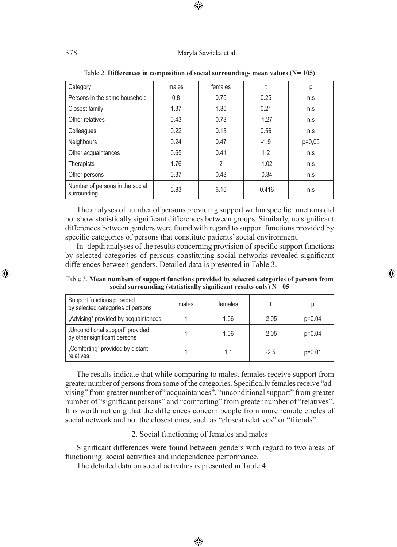| Category                                       | males | females |          | р        |
|------------------------------------------------|-------|---------|----------|----------|
| Persons in the same household                  | 0.8   | 0.75    | 0.25     | n.s      |
| Closest family                                 | 1.37  | 1.35    | 0.21     | n.s      |
| Other relatives                                | 0.43  | 0.73    | $-1.27$  | n.s      |
| Colleagues                                     | 0.22  | 0.15    | 0.56     | n.s      |
| Neighbours                                     | 0.24  | 0.47    | $-1.9$   | $p=0.05$ |
| Other acquaintances                            | 0.65  | 0.41    | 1.2      | n.s      |
| Therapists                                     | 1.76  | 2       | $-1.02$  | n.s      |
| Other persons                                  | 0.37  | 0.43    | $-0.34$  | n.s      |
| Number of persons in the social<br>surrounding | 5.83  | 6.15    | $-0.416$ | n.s      |

| Table 2. Differences in composition of social surrounding- mean values $(N=105)$ |  |  |  |  |  |
|----------------------------------------------------------------------------------|--|--|--|--|--|
|----------------------------------------------------------------------------------|--|--|--|--|--|

The analyses of number of persons providing support within specific functions did not show statistically significant differences between groups. Similarly, no significant differences between genders were found with regard to support functions provided by specific categories of persons that constitute patients' social environment.

In- depth analyses of the results concerning provision of specific support functions by selected categories of persons constituting social networks revealed significant differences between genders. Detailed data is presented in Table 3.

Table 3. **Mean numbers of support functions provided by selected categories of persons from social surrounding (statistically significant results only) N= 05**

◈

| Support functions provided<br>by selected categories of persons  | males | females |         |          |
|------------------------------------------------------------------|-------|---------|---------|----------|
| "Advising" provided by acquaintances                             |       | 1.06    | $-2.05$ | $p=0.04$ |
| "Unconditional support" provided<br>by other significant persons |       | 1.06    | $-2.05$ | $p=0.04$ |
| "Comforting" provided by distant<br>relatives                    |       | 1.1     | $-2.5$  | $p=0.01$ |

The results indicate that while comparing to males, females receive support from greater number of persons from some of the categories. Specifically females receive "advising" from greater number of "acquaintances", "unconditional support" from greater number of "significant persons" and "comforting" from greater number of "relatives". It is worth noticing that the differences concern people from more remote circles of social network and not the closest ones, such as "closest relatives" or "friends".

### 2. Social functioning of females and males

Significant differences were found between genders with regard to two areas of functioning: social activities and independence performance.

♠

The detailed data on social activities is presented in Table 4.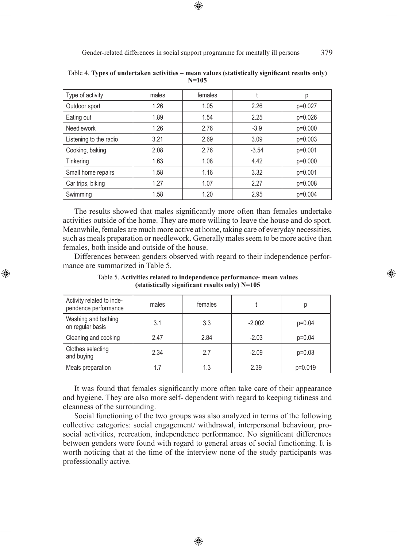| Type of activity       | males | females |         | р       |
|------------------------|-------|---------|---------|---------|
| Outdoor sport          | 1.26  | 1.05    | 2.26    | p=0.027 |
| Eating out             | 1.89  | 1.54    | 2.25    | p=0.026 |
| <b>Needlework</b>      | 1.26  | 2.76    | $-3.9$  | p=0.000 |
| Listening to the radio | 3.21  | 2.69    | 3.09    | p=0.003 |
| Cooking, baking        | 2.08  | 2.76    | $-3.54$ | p=0.001 |
| Tinkering              | 1.63  | 1.08    | 4.42    | p=0.000 |
| Small home repairs     | 1.58  | 1.16    | 3.32    | p=0.001 |
| Car trips, biking      | 1.27  | 1.07    | 2.27    | p=0.008 |
| Swimming               | 1.58  | 1.20    | 2.95    | p=0.004 |

| Table 4. Types of undertaken activities – mean values (statistically significant results only) |         |  |  |
|------------------------------------------------------------------------------------------------|---------|--|--|
|                                                                                                | $N=105$ |  |  |

The results showed that males significantly more often than females undertake activities outside of the home. They are more willing to leave the house and do sport. Meanwhile, females are much more active at home, taking care of everyday necessities, such as meals preparation or needlework. Generally males seem to be more active than females, both inside and outside of the house.

Differences between genders observed with regard to their independence performance are summarized in Table 5.

◈

| Activity related to inde-<br>pendence performance | males | females |          | р        |
|---------------------------------------------------|-------|---------|----------|----------|
| Washing and bathing<br>on regular basis           | 3.1   | 3.3     | $-2.002$ | $p=0.04$ |
| Cleaning and cooking                              | 2.47  | 2.84    | $-2.03$  | $p=0.04$ |
| Clothes selecting<br>and buying                   | 2.34  | 2.7     | $-2.09$  | $p=0.03$ |
| Meals preparation                                 | 1.7   | 1.3     | 2.39     | p=0.019  |

Table 5. **Activities related to independence performance- mean values (statistically significant results only) N=105**

It was found that females significantly more often take care of their appearance and hygiene. They are also more self- dependent with regard to keeping tidiness and cleanness of the surrounding.

Social functioning of the two groups was also analyzed in terms of the following collective categories: social engagement/ withdrawal, interpersonal behaviour, prosocial activities, recreation, independence performance. No significant differences between genders were found with regard to general areas of social functioning. It is worth noticing that at the time of the interview none of the study participants was professionally active.

⊕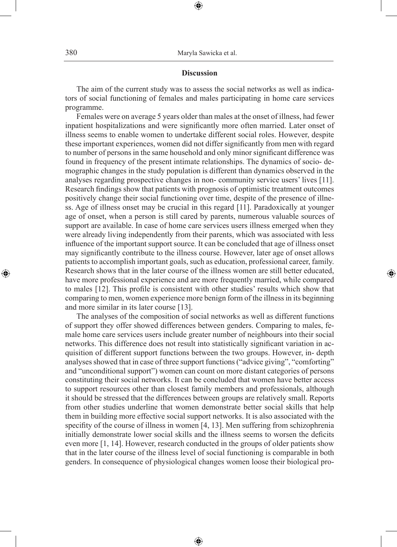### **Discussion**

⊕

The aim of the current study was to assess the social networks as well as indicators of social functioning of females and males participating in home care services programme.

Females were on average 5 years older than males at the onset of illness, had fewer inpatient hospitalizations and were significantly more often married. Later onset of illness seems to enable women to undertake different social roles. However, despite these important experiences, women did not differ significantly from men with regard to number of persons in the same household and only minor significant difference was found in frequency of the present intimate relationships. The dynamics of socio- demographic changes in the study population is different than dynamics observed in the analyses regarding prospective changes in non- community service users' lives [11]. Research findings show that patients with prognosis of optimistic treatment outcomes positively change their social functioning over time, despite of the presence of illness. Age of illness onset may be crucial in this regard [11]. Paradoxically at younger age of onset, when a person is still cared by parents, numerous valuable sources of support are available. In case of home care services users illness emerged when they were already living independently from their parents, which was associated with less influence of the important support source. It can be concluded that age of illness onset may significantly contribute to the illness course. However, later age of onset allows patients to accomplish important goals, such as education, professional career, family. Research shows that in the later course of the illness women are still better educated, have more professional experience and are more frequently married, while compared to males [12]. This profile is consistent with other studies' results which show that comparing to men, women experience more benign form of the illness in its beginning and more similar in its later course [13].

◈

The analyses of the composition of social networks as well as different functions of support they offer showed differences between genders. Comparing to males, female home care services users include greater number of neighbours into their social networks. This difference does not result into statistically significant variation in acquisition of different support functions between the two groups. However, in- depth analyses showed that in case of three support functions ("advice giving", "comforting" and "unconditional support") women can count on more distant categories of persons constituting their social networks. It can be concluded that women have better access to support resources other than closest family members and professionals, although it should be stressed that the differences between groups are relatively small. Reports from other studies underline that women demonstrate better social skills that help them in building more effective social support networks. It is also associated with the specifity of the course of illness in women [4, 13]. Men suffering from schizophrenia initially demonstrate lower social skills and the illness seems to worsen the deficits even more [1, 14]. However, research conducted in the groups of older patients show that in the later course of the illness level of social functioning is comparable in both genders. In consequence of physiological changes women loose their biological pro-

⊕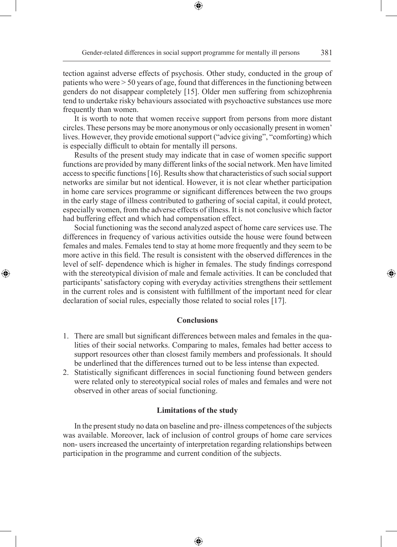Gender-related differences in social support programme for mentally ill persons 381

⊕

tection against adverse effects of psychosis. Other study, conducted in the group of patients who were > 50 years of age, found that differences in the functioning between genders do not disappear completely [15]. Older men suffering from schizophrenia tend to undertake risky behaviours associated with psychoactive substances use more frequently than women.

It is worth to note that women receive support from persons from more distant circles. These persons may be more anonymous or only occasionally present in women' lives. However, they provide emotional support ("advice giving", "comforting) which is especially difficult to obtain for mentally ill persons.

Results of the present study may indicate that in case of women specific support functions are provided by many different links of the social network. Men have limited access to specific functions [16]. Results show that characteristics of such social support networks are similar but not identical. However, it is not clear whether participation in home care services programme or significant differences between the two groups in the early stage of illness contributed to gathering of social capital, it could protect, especially women, from the adverse effects of illness. It is not conclusive which factor had buffering effect and which had compensation effect.

Social functioning was the second analyzed aspect of home care services use. The differences in frequency of various activities outside the house were found between females and males. Females tend to stay at home more frequently and they seem to be more active in this field. The result is consistent with the observed differences in the level of self- dependence which is higher in females. The study findings correspond with the stereotypical division of male and female activities. It can be concluded that participants' satisfactory coping with everyday activities strengthens their settlement in the current roles and is consistent with fulfillment of the important need for clear declaration of social rules, especially those related to social roles [17].

◈

### **Conclusions**

- 1. There are small but significant differences between males and females in the qualities of their social networks. Comparing to males, females had better access to support resources other than closest family members and professionals. It should be underlined that the differences turned out to be less intense than expected.
- 2. Statistically significant differences in social functioning found between genders were related only to stereotypical social roles of males and females and were not observed in other areas of social functioning.

### **Limitations of the study**

In the present study no data on baseline and pre- illness competences of the subjects was available. Moreover, lack of inclusion of control groups of home care services non- users increased the uncertainty of interpretation regarding relationships between participation in the programme and current condition of the subjects.

⊕